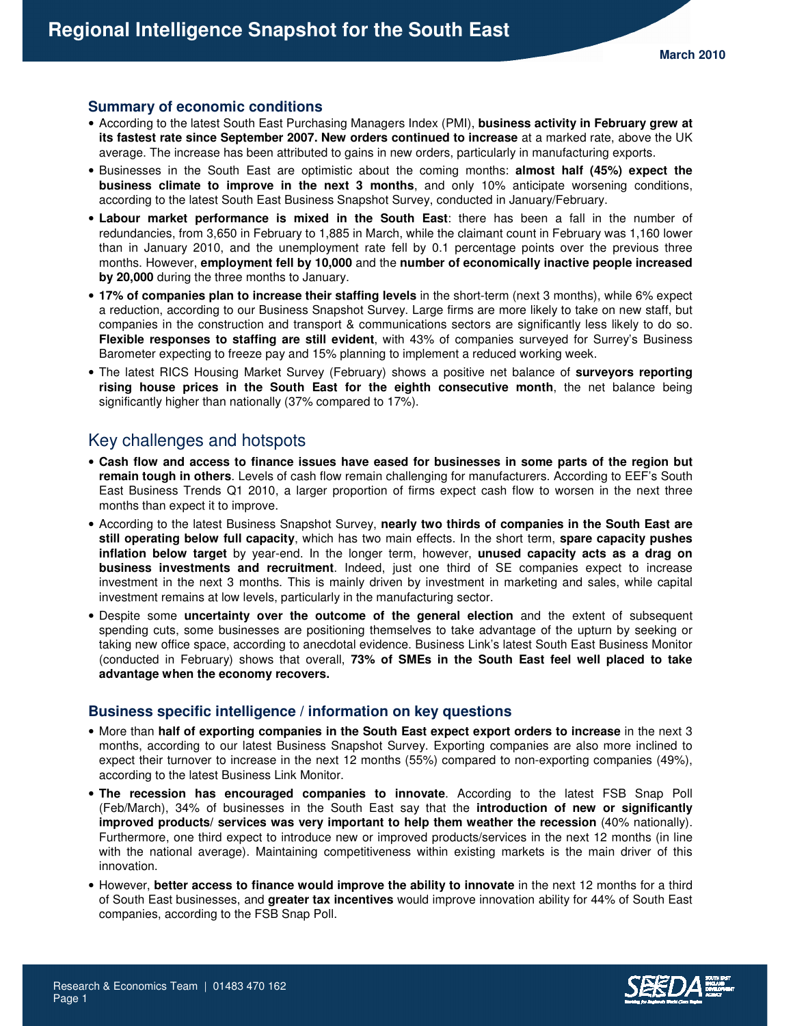# **Summary of economic conditions**

- According to the latest South East Purchasing Managers Index (PMI), **business activity in February grew at its fastest rate since September 2007. New orders continued to increase** at a marked rate, above the UK average. The increase has been attributed to gains in new orders, particularly in manufacturing exports.
- Businesses in the South East are optimistic about the coming months: **almost half (45%) expect the business climate to improve in the next 3 months**, and only 10% anticipate worsening conditions, according to the latest South East Business Snapshot Survey, conducted in January/February.
- **Labour market performance is mixed in the South East**: there has been a fall in the number of redundancies, from 3,650 in February to 1,885 in March, while the claimant count in February was 1,160 lower than in January 2010, and the unemployment rate fell by 0.1 percentage points over the previous three months. However, **employment fell by 10,000** and the **number of economically inactive people increased by 20,000** during the three months to January.
- **17% of companies plan to increase their staffing levels** in the short-term (next 3 months), while 6% expect a reduction, according to our Business Snapshot Survey. Large firms are more likely to take on new staff, but companies in the construction and transport & communications sectors are significantly less likely to do so. **Flexible responses to staffing are still evident**, with 43% of companies surveyed for Surrey's Business Barometer expecting to freeze pay and 15% planning to implement a reduced working week.
- The latest RICS Housing Market Survey (February) shows a positive net balance of **surveyors reporting rising house prices in the South East for the eighth consecutive month**, the net balance being significantly higher than nationally (37% compared to 17%).

# Key challenges and hotspots

- **Cash flow and access to finance issues have eased for businesses in some parts of the region but remain tough in others**. Levels of cash flow remain challenging for manufacturers. According to EEF's South East Business Trends Q1 2010, a larger proportion of firms expect cash flow to worsen in the next three months than expect it to improve.
- According to the latest Business Snapshot Survey, **nearly two thirds of companies in the South East are still operating below full capacity**, which has two main effects. In the short term, **spare capacity pushes inflation below target** by year-end. In the longer term, however, **unused capacity acts as a drag on business investments and recruitment**. Indeed, just one third of SE companies expect to increase investment in the next 3 months. This is mainly driven by investment in marketing and sales, while capital investment remains at low levels, particularly in the manufacturing sector.
- Despite some **uncertainty over the outcome of the general election** and the extent of subsequent spending cuts, some businesses are positioning themselves to take advantage of the upturn by seeking or taking new office space, according to anecdotal evidence. Business Link's latest South East Business Monitor (conducted in February) shows that overall, **73% of SMEs in the South East feel well placed to take advantage when the economy recovers.**

#### **Business specific intelligence / information on key questions**

- More than **half of exporting companies in the South East expect export orders to increase** in the next 3 months, according to our latest Business Snapshot Survey. Exporting companies are also more inclined to expect their turnover to increase in the next 12 months (55%) compared to non-exporting companies (49%), according to the latest Business Link Monitor.
- **The recession has encouraged companies to innovate**. According to the latest FSB Snap Poll (Feb/March), 34% of businesses in the South East say that the **introduction of new or significantly improved products/ services was very important to help them weather the recession** (40% nationally). Furthermore, one third expect to introduce new or improved products/services in the next 12 months (in line with the national average). Maintaining competitiveness within existing markets is the main driver of this innovation.
- However, **better access to finance would improve the ability to innovate** in the next 12 months for a third of South East businesses, and **greater tax incentives** would improve innovation ability for 44% of South East companies, according to the FSB Snap Poll.

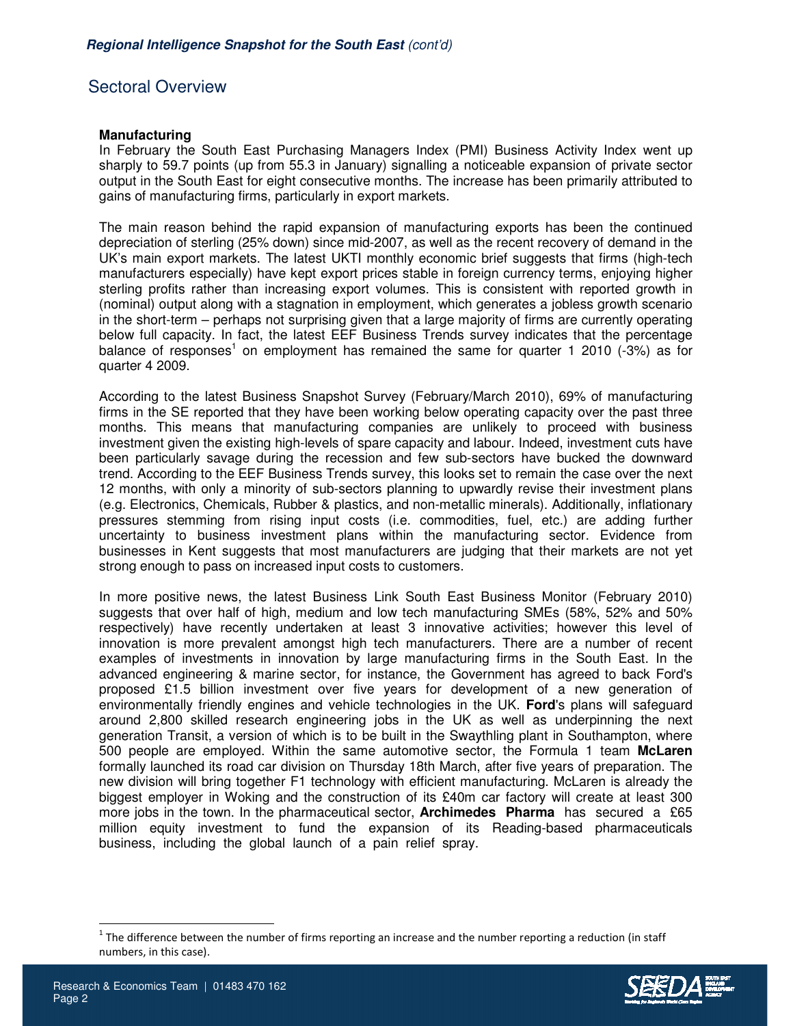# Sectoral Overview

## **Manufacturing**

In February the South East Purchasing Managers Index (PMI) Business Activity Index went up sharply to 59.7 points (up from 55.3 in January) signalling a noticeable expansion of private sector output in the South East for eight consecutive months. The increase has been primarily attributed to gains of manufacturing firms, particularly in export markets.

The main reason behind the rapid expansion of manufacturing exports has been the continued depreciation of sterling (25% down) since mid-2007, as well as the recent recovery of demand in the UK's main export markets. The latest UKTI monthly economic brief suggests that firms (high-tech manufacturers especially) have kept export prices stable in foreign currency terms, enjoying higher sterling profits rather than increasing export volumes. This is consistent with reported growth in (nominal) output along with a stagnation in employment, which generates a jobless growth scenario in the short-term – perhaps not surprising given that a large majority of firms are currently operating below full capacity. In fact, the latest EEF Business Trends survey indicates that the percentage balance of responses<sup>1</sup> on employment has remained the same for quarter 1 2010 (-3%) as for quarter 4 2009.

According to the latest Business Snapshot Survey (February/March 2010), 69% of manufacturing firms in the SE reported that they have been working below operating capacity over the past three months. This means that manufacturing companies are unlikely to proceed with business investment given the existing high-levels of spare capacity and labour. Indeed, investment cuts have been particularly savage during the recession and few sub-sectors have bucked the downward trend. According to the EEF Business Trends survey, this looks set to remain the case over the next 12 months, with only a minority of sub-sectors planning to upwardly revise their investment plans (e.g. Electronics, Chemicals, Rubber & plastics, and non-metallic minerals). Additionally, inflationary pressures stemming from rising input costs (i.e. commodities, fuel, etc.) are adding further uncertainty to business investment plans within the manufacturing sector. Evidence from businesses in Kent suggests that most manufacturers are judging that their markets are not yet strong enough to pass on increased input costs to customers.

In more positive news, the latest Business Link South East Business Monitor (February 2010) suggests that over half of high, medium and low tech manufacturing SMEs (58%, 52% and 50% respectively) have recently undertaken at least 3 innovative activities; however this level of innovation is more prevalent amongst high tech manufacturers. There are a number of recent examples of investments in innovation by large manufacturing firms in the South East. In the advanced engineering & marine sector, for instance, the Government has agreed to back Ford's proposed £1.5 billion investment over five years for development of a new generation of environmentally friendly engines and vehicle technologies in the UK. **Ford**'s plans will safeguard around 2,800 skilled research engineering jobs in the UK as well as underpinning the next generation Transit, a version of which is to be built in the Swaythling plant in Southampton, where 500 people are employed. Within the same automotive sector, the Formula 1 team **McLaren** formally launched its road car division on Thursday 18th March, after five years of preparation. The new division will bring together F1 technology with efficient manufacturing. McLaren is already the biggest employer in Woking and the construction of its £40m car factory will create at least 300 more jobs in the town. In the pharmaceutical sector, **Archimedes Pharma** has secured a £65 million equity investment to fund the expansion of its Reading-based pharmaceuticals business, including the global launch of a pain relief spray.

 $1$  The difference between the number of firms reporting an increase and the number reporting a reduction (in staff numbers, in this case).



 $\overline{a}$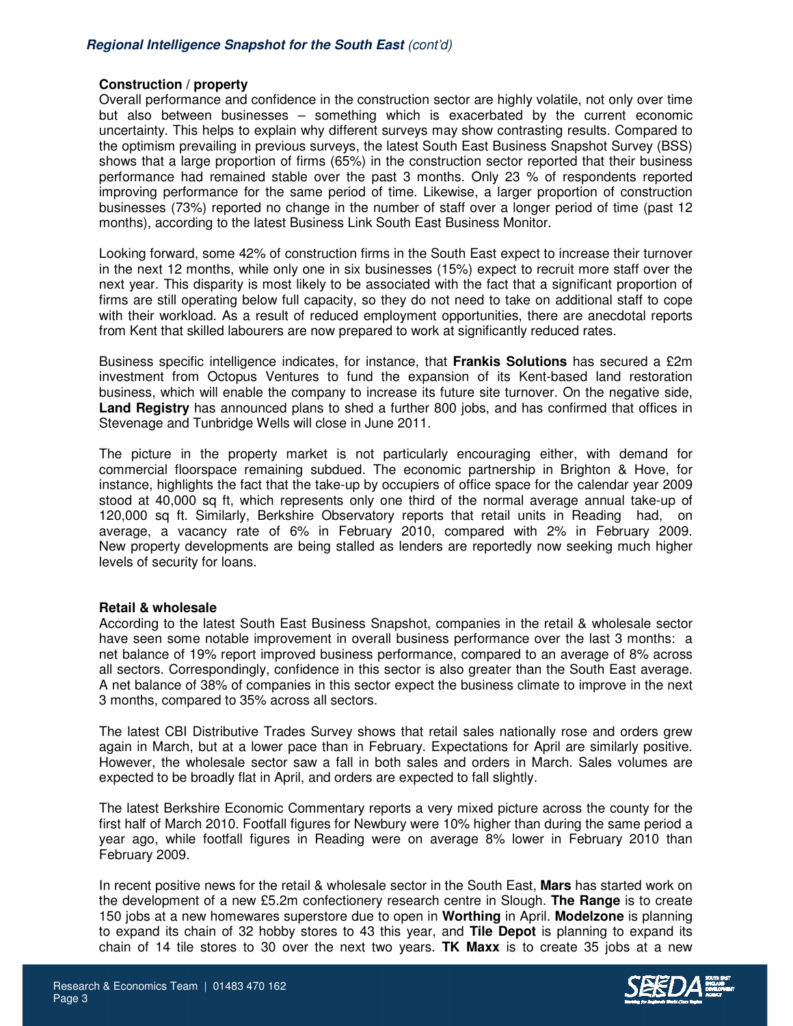# **Construction / property**

Overall performance and confidence in the construction sector are highly volatile, not only over time but also between businesses – something which is exacerbated by the current economic uncertainty. This helps to explain why different surveys may show contrasting results. Compared to the optimism prevailing in previous surveys, the latest South East Business Snapshot Survey (BSS) shows that a large proportion of firms (65%) in the construction sector reported that their business performance had remained stable over the past 3 months. Only 23 % of respondents reported improving performance for the same period of time. Likewise, a larger proportion of construction businesses (73%) reported no change in the number of staff over a longer period of time (past 12 months), according to the latest Business Link South East Business Monitor.

Looking forward, some 42% of construction firms in the South East expect to increase their turnover in the next 12 months, while only one in six businesses (15%) expect to recruit more staff over the next year. This disparity is most likely to be associated with the fact that a significant proportion of firms are still operating below full capacity, so they do not need to take on additional staff to cope with their workload. As a result of reduced employment opportunities, there are anecdotal reports from Kent that skilled labourers are now prepared to work at significantly reduced rates.

Business specific intelligence indicates, for instance, that **Frankis Solutions** has secured a £2m investment from Octopus Ventures to fund the expansion of its Kent-based land restoration business, which will enable the company to increase its future site turnover. On the negative side, **Land Registry** has announced plans to shed a further 800 jobs, and has confirmed that offices in Stevenage and Tunbridge Wells will close in June 2011.

The picture in the property market is not particularly encouraging either, with demand for commercial floorspace remaining subdued. The economic partnership in Brighton & Hove, for instance, highlights the fact that the take-up by occupiers of office space for the calendar year 2009 stood at 40,000 sq ft, which represents only one third of the normal average annual take-up of 120,000 sq ft. Similarly, Berkshire Observatory reports that retail units in Reading had, on average, a vacancy rate of 6% in February 2010, compared with 2% in February 2009. New property developments are being stalled as lenders are reportedly now seeking much higher levels of security for loans.

#### **Retail & wholesale**

According to the latest South East Business Snapshot, companies in the retail & wholesale sector have seen some notable improvement in overall business performance over the last 3 months: a net balance of 19% report improved business performance, compared to an average of 8% across all sectors. Correspondingly, confidence in this sector is also greater than the South East average. A net balance of 38% of companies in this sector expect the business climate to improve in the next 3 months, compared to 35% across all sectors.

The latest CBI Distributive Trades Survey shows that retail sales nationally rose and orders grew again in March, but at a lower pace than in February. Expectations for April are similarly positive. However, the wholesale sector saw a fall in both sales and orders in March. Sales volumes are expected to be broadly flat in April, and orders are expected to fall slightly.

The latest Berkshire Economic Commentary reports a very mixed picture across the county for the first half of March 2010. Footfall figures for Newbury were 10% higher than during the same period a year ago, while footfall figures in Reading were on average 8% lower in February 2010 than February 2009.

In recent positive news for the retail & wholesale sector in the South East, **Mars** has started work on the development of a new £5.2m confectionery research centre in Slough. **The Range** is to create 150 jobs at a new homewares superstore due to open in **Worthing** in April. **Modelzone** is planning to expand its chain of 32 hobby stores to 43 this year, and **Tile Depot** is planning to expand its chain of 14 tile stores to 30 over the next two years. **TK Maxx** is to create 35 jobs at a new

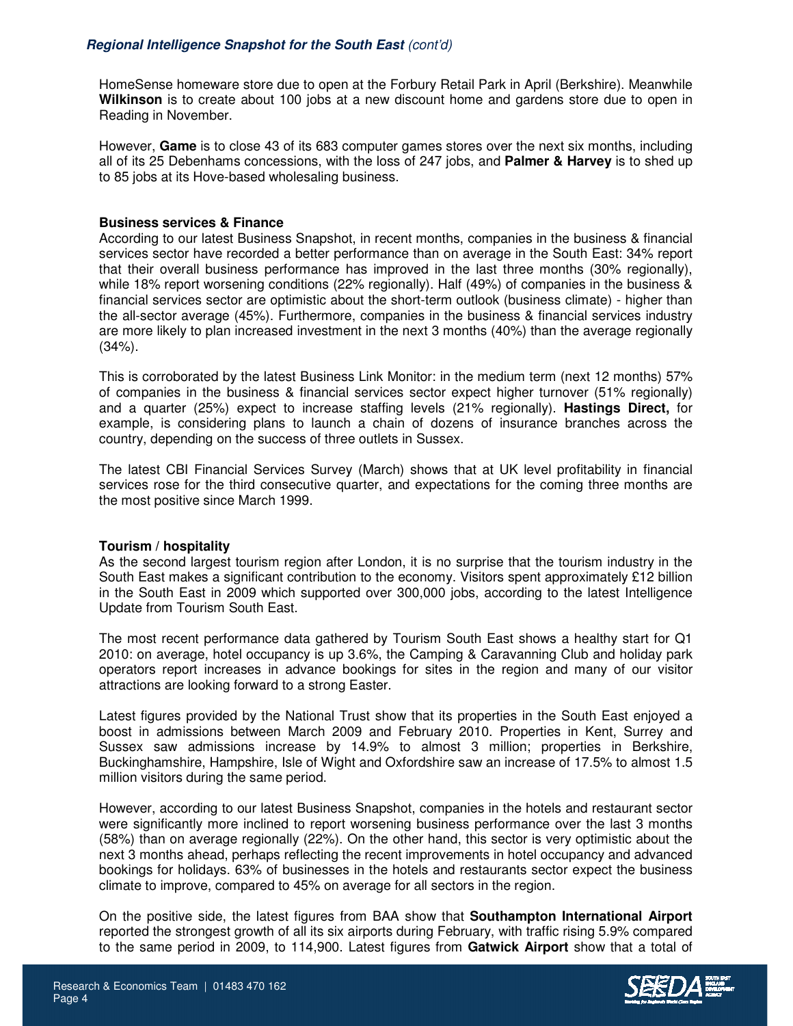HomeSense homeware store due to open at the Forbury Retail Park in April (Berkshire). Meanwhile **Wilkinson** is to create about 100 jobs at a new discount home and gardens store due to open in Reading in November.

However, **Game** is to close 43 of its 683 computer games stores over the next six months, including all of its 25 Debenhams concessions, with the loss of 247 jobs, and **Palmer & Harvey** is to shed up to 85 jobs at its Hove-based wholesaling business.

# **Business services & Finance**

According to our latest Business Snapshot, in recent months, companies in the business & financial services sector have recorded a better performance than on average in the South East: 34% report that their overall business performance has improved in the last three months (30% regionally), while 18% report worsening conditions (22% regionally). Half (49%) of companies in the business & financial services sector are optimistic about the short-term outlook (business climate) - higher than the all-sector average (45%). Furthermore, companies in the business & financial services industry are more likely to plan increased investment in the next 3 months (40%) than the average regionally  $(34%)$ .

This is corroborated by the latest Business Link Monitor: in the medium term (next 12 months) 57% of companies in the business & financial services sector expect higher turnover (51% regionally) and a quarter (25%) expect to increase staffing levels (21% regionally). **Hastings Direct,** for example, is considering plans to launch a chain of dozens of insurance branches across the country, depending on the success of three outlets in Sussex.

The latest CBI Financial Services Survey (March) shows that at UK level profitability in financial services rose for the third consecutive quarter, and expectations for the coming three months are the most positive since March 1999.

#### **Tourism / hospitality**

As the second largest tourism region after London, it is no surprise that the tourism industry in the South East makes a significant contribution to the economy. Visitors spent approximately £12 billion in the South East in 2009 which supported over 300,000 jobs, according to the latest Intelligence Update from Tourism South East.

The most recent performance data gathered by Tourism South East shows a healthy start for Q1 2010: on average, hotel occupancy is up 3.6%, the Camping & Caravanning Club and holiday park operators report increases in advance bookings for sites in the region and many of our visitor attractions are looking forward to a strong Easter.

Latest figures provided by the National Trust show that its properties in the South East enjoyed a boost in admissions between March 2009 and February 2010. Properties in Kent, Surrey and Sussex saw admissions increase by 14.9% to almost 3 million; properties in Berkshire, Buckinghamshire, Hampshire, Isle of Wight and Oxfordshire saw an increase of 17.5% to almost 1.5 million visitors during the same period.

However, according to our latest Business Snapshot, companies in the hotels and restaurant sector were significantly more inclined to report worsening business performance over the last 3 months (58%) than on average regionally (22%). On the other hand, this sector is very optimistic about the next 3 months ahead, perhaps reflecting the recent improvements in hotel occupancy and advanced bookings for holidays. 63% of businesses in the hotels and restaurants sector expect the business climate to improve, compared to 45% on average for all sectors in the region.

On the positive side, the latest figures from BAA show that **Southampton International Airport** reported the strongest growth of all its six airports during February, with traffic rising 5.9% compared to the same period in 2009, to 114,900. Latest figures from **Gatwick Airport** show that a total of

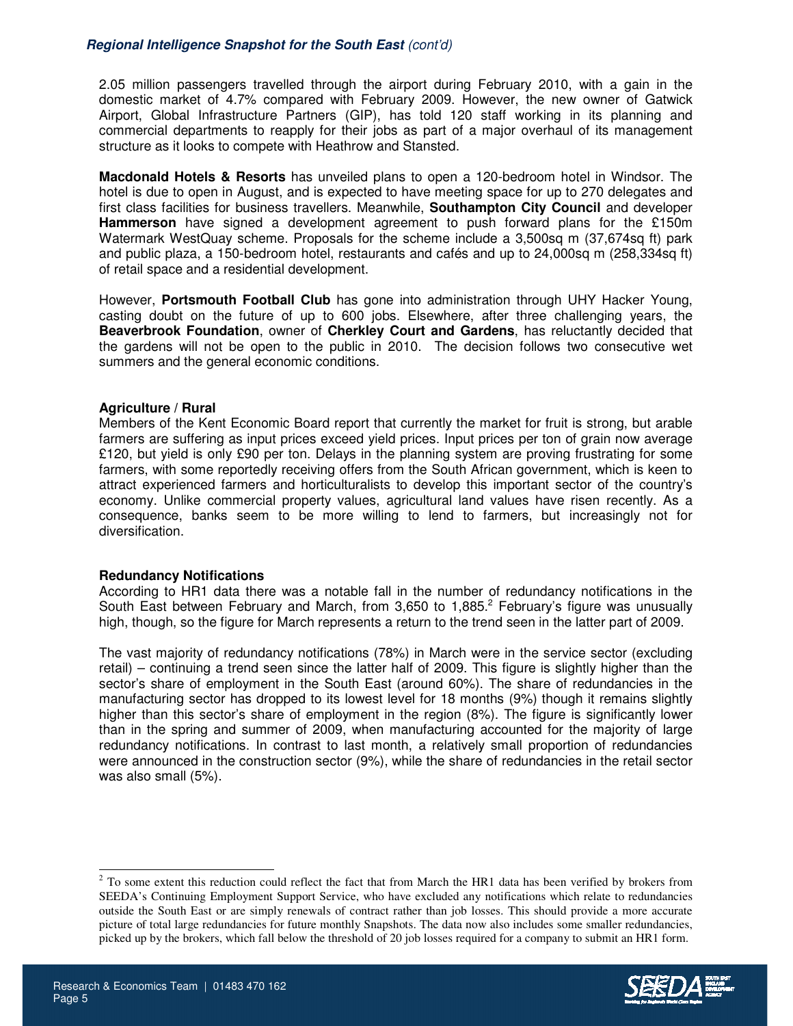# **Regional Intelligence Snapshot for the South East** (cont'd)

2.05 million passengers travelled through the airport during February 2010, with a gain in the domestic market of 4.7% compared with February 2009. However, the new owner of Gatwick Airport, Global Infrastructure Partners (GIP), has told 120 staff working in its planning and commercial departments to reapply for their jobs as part of a major overhaul of its management structure as it looks to compete with Heathrow and Stansted.

**Macdonald Hotels & Resorts** has unveiled plans to open a 120-bedroom hotel in Windsor. The hotel is due to open in August, and is expected to have meeting space for up to 270 delegates and first class facilities for business travellers. Meanwhile, **Southampton City Council** and developer **Hammerson** have signed a development agreement to push forward plans for the £150m Watermark WestQuay scheme. Proposals for the scheme include a 3,500sq m (37,674sq ft) park and public plaza, a 150-bedroom hotel, restaurants and cafés and up to 24,000sq m (258,334sq ft) of retail space and a residential development.

However, **Portsmouth Football Club** has gone into administration through UHY Hacker Young, casting doubt on the future of up to 600 jobs. Elsewhere, after three challenging years, the **Beaverbrook Foundation**, owner of **Cherkley Court and Gardens**, has reluctantly decided that the gardens will not be open to the public in 2010. The decision follows two consecutive wet summers and the general economic conditions.

#### **Agriculture / Rural**

Members of the Kent Economic Board report that currently the market for fruit is strong, but arable farmers are suffering as input prices exceed yield prices. Input prices per ton of grain now average £120, but yield is only £90 per ton. Delays in the planning system are proving frustrating for some farmers, with some reportedly receiving offers from the South African government, which is keen to attract experienced farmers and horticulturalists to develop this important sector of the country's economy. Unlike commercial property values, agricultural land values have risen recently. As a consequence, banks seem to be more willing to lend to farmers, but increasingly not for diversification.

#### **Redundancy Notifications**

According to HR1 data there was a notable fall in the number of redundancy notifications in the South East between February and March, from 3,650 to 1,885. $^2$  February's figure was unusually high, though, so the figure for March represents a return to the trend seen in the latter part of 2009.

The vast majority of redundancy notifications (78%) in March were in the service sector (excluding retail) – continuing a trend seen since the latter half of 2009. This figure is slightly higher than the sector's share of employment in the South East (around 60%). The share of redundancies in the manufacturing sector has dropped to its lowest level for 18 months (9%) though it remains slightly higher than this sector's share of employment in the region (8%). The figure is significantly lower than in the spring and summer of 2009, when manufacturing accounted for the majority of large redundancy notifications. In contrast to last month, a relatively small proportion of redundancies were announced in the construction sector (9%), while the share of redundancies in the retail sector was also small (5%).

 $2^{2}$  To some extent this reduction could reflect the fact that from March the HR1 data has been verified by brokers from SEEDA's Continuing Employment Support Service, who have excluded any notifications which relate to redundancies outside the South East or are simply renewals of contract rather than job losses. This should provide a more accurate picture of total large redundancies for future monthly Snapshots. The data now also includes some smaller redundancies, picked up by the brokers, which fall below the threshold of 20 job losses required for a company to submit an HR1 form.



 $\overline{a}$